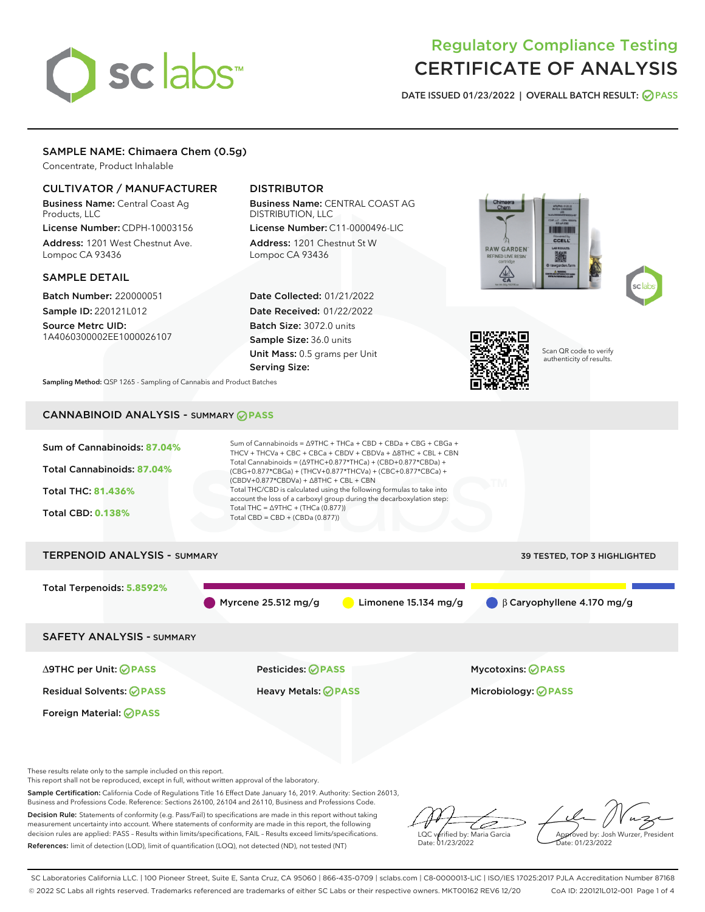# sclabs<sup>\*</sup>

# Regulatory Compliance Testing CERTIFICATE OF ANALYSIS

DATE ISSUED 01/23/2022 | OVERALL BATCH RESULT: @ PASS

## SAMPLE NAME: Chimaera Chem (0.5g)

Concentrate, Product Inhalable

# CULTIVATOR / MANUFACTURER

Business Name: Central Coast Ag Products, LLC

License Number: CDPH-10003156 Address: 1201 West Chestnut Ave. Lompoc CA 93436

#### SAMPLE DETAIL

Batch Number: 220000051 Sample ID: 220121L012

Source Metrc UID: 1A4060300002EE1000026107

# DISTRIBUTOR

Business Name: CENTRAL COAST AG DISTRIBUTION, LLC License Number: C11-0000496-LIC

Address: 1201 Chestnut St W Lompoc CA 93436

Date Collected: 01/21/2022 Date Received: 01/22/2022 Batch Size: 3072.0 units Sample Size: 36.0 units Unit Mass: 0.5 grams per Unit Serving Size:







Scan QR code to verify authenticity of results.

Sampling Method: QSP 1265 - Sampling of Cannabis and Product Batches

# CANNABINOID ANALYSIS - SUMMARY **PASS**



These results relate only to the sample included on this report.

This report shall not be reproduced, except in full, without written approval of the laboratory.

Sample Certification: California Code of Regulations Title 16 Effect Date January 16, 2019. Authority: Section 26013, Business and Professions Code. Reference: Sections 26100, 26104 and 26110, Business and Professions Code.

Decision Rule: Statements of conformity (e.g. Pass/Fail) to specifications are made in this report without taking measurement uncertainty into account. Where statements of conformity are made in this report, the following decision rules are applied: PASS – Results within limits/specifications, FAIL – Results exceed limits/specifications. References: limit of detection (LOD), limit of quantification (LOQ), not detected (ND), not tested (NT)

ىر LQC verified by: Maria Garcia Date: 01/23/2022

Approved by: Josh Wurzer, President ate: 01/23/2022

SC Laboratories California LLC. | 100 Pioneer Street, Suite E, Santa Cruz, CA 95060 | 866-435-0709 | sclabs.com | C8-0000013-LIC | ISO/IES 17025:2017 PJLA Accreditation Number 87168 © 2022 SC Labs all rights reserved. Trademarks referenced are trademarks of either SC Labs or their respective owners. MKT00162 REV6 12/20 CoA ID: 220121L012-001 Page 1 of 4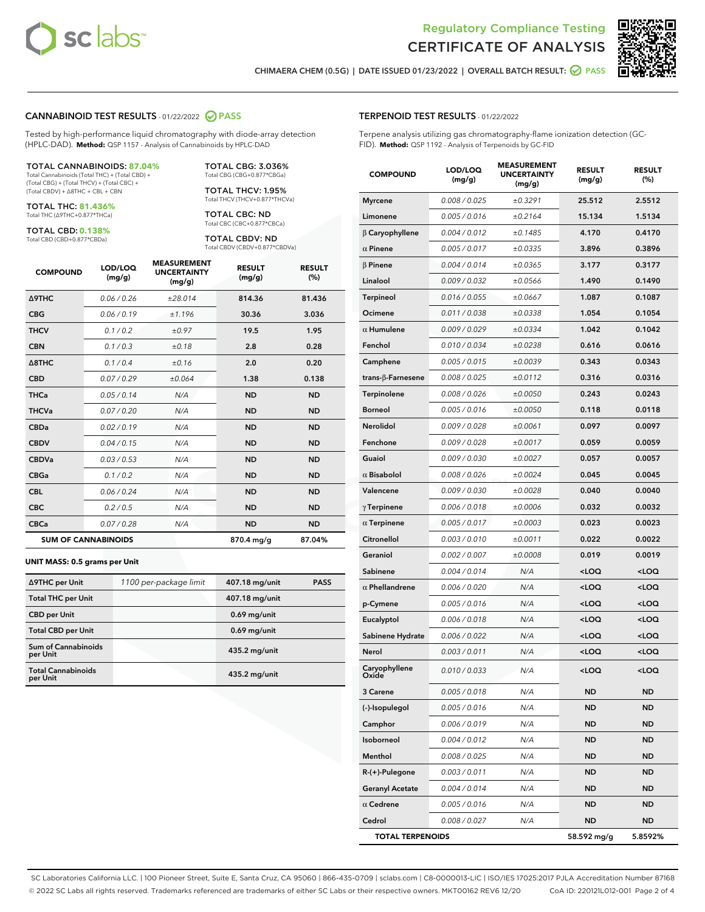



CHIMAERA CHEM (0.5G) | DATE ISSUED 01/23/2022 | OVERALL BATCH RESULT: **○** PASS

#### CANNABINOID TEST RESULTS - 01/22/2022 2 PASS

Tested by high-performance liquid chromatography with diode-array detection (HPLC-DAD). **Method:** QSP 1157 - Analysis of Cannabinoids by HPLC-DAD

#### TOTAL CANNABINOIDS: **87.04%**

Total Cannabinoids (Total THC) + (Total CBD) + (Total CBG) + (Total THCV) + (Total CBC) + (Total CBDV) + ∆8THC + CBL + CBN

TOTAL THC: **81.436%** Total THC (∆9THC+0.877\*THCa)

TOTAL CBD: **0.138%**

Total CBD (CBD+0.877\*CBDa)

TOTAL CBG: 3.036% Total CBG (CBG+0.877\*CBGa)

TOTAL THCV: 1.95% Total THCV (THCV+0.877\*THCVa)

TOTAL CBC: ND Total CBC (CBC+0.877\*CBCa)

TOTAL CBDV: ND Total CBDV (CBDV+0.877\*CBDVa)

| <b>COMPOUND</b>            | LOD/LOQ<br>(mg/g) | <b>MEASUREMENT</b><br><b>UNCERTAINTY</b><br>(mg/g) | <b>RESULT</b><br>(mg/g) | <b>RESULT</b><br>(%) |
|----------------------------|-------------------|----------------------------------------------------|-------------------------|----------------------|
| <b>A9THC</b>               | 0.06 / 0.26       | ±28.014                                            | 814.36                  | 81.436               |
| <b>CBG</b>                 | 0.06/0.19         | ±1.196                                             | 30.36                   | 3.036                |
| <b>THCV</b>                | 0.1/0.2           | ±0.97                                              | 19.5                    | 1.95                 |
| <b>CBN</b>                 | 0.1 / 0.3         | ±0.18                                              | 2.8                     | 0.28                 |
| $\triangle$ 8THC           | 0.1/0.4           | ±0.16                                              | 2.0                     | 0.20                 |
| <b>CBD</b>                 | 0.07/0.29         | ±0.064                                             | 1.38                    | 0.138                |
| <b>THCa</b>                | 0.05/0.14         | N/A                                                | <b>ND</b>               | <b>ND</b>            |
| <b>THCVa</b>               | 0.07/0.20         | N/A                                                | <b>ND</b>               | <b>ND</b>            |
| <b>CBDa</b>                | 0.02/0.19         | N/A                                                | <b>ND</b>               | <b>ND</b>            |
| <b>CBDV</b>                | 0.04/0.15         | N/A                                                | <b>ND</b>               | <b>ND</b>            |
| <b>CBDVa</b>               | 0.03/0.53         | N/A                                                | <b>ND</b>               | <b>ND</b>            |
| <b>CBGa</b>                | 0.1/0.2           | N/A                                                | <b>ND</b>               | <b>ND</b>            |
| <b>CBL</b>                 | 0.06 / 0.24       | N/A                                                | <b>ND</b>               | <b>ND</b>            |
| <b>CBC</b>                 | 0.2 / 0.5         | N/A                                                | <b>ND</b>               | <b>ND</b>            |
| <b>CBCa</b>                | 0.07 / 0.28       | N/A                                                | <b>ND</b>               | <b>ND</b>            |
| <b>SUM OF CANNABINOIDS</b> |                   |                                                    | 870.4 mg/g              | 87.04%               |

#### **UNIT MASS: 0.5 grams per Unit**

| ∆9THC per Unit                         | 1100 per-package limit | 407.18 mg/unit  | <b>PASS</b> |
|----------------------------------------|------------------------|-----------------|-------------|
| <b>Total THC per Unit</b>              |                        | 407.18 mg/unit  |             |
| <b>CBD</b> per Unit                    |                        | $0.69$ mg/unit  |             |
| <b>Total CBD per Unit</b>              |                        | $0.69$ mg/unit  |             |
| <b>Sum of Cannabinoids</b><br>per Unit |                        | 435.2 mg/unit   |             |
| <b>Total Cannabinoids</b><br>per Unit  |                        | $435.2$ mg/unit |             |

| <b>COMPOUND</b>           | <b>LOD/LOQ</b><br>(mg/g) | <b>UNCERTAINTY</b><br>(mg/g) | <b>RESULT</b><br>(mg/g)                         | <b>RESULT</b><br>$(\%)$ |
|---------------------------|--------------------------|------------------------------|-------------------------------------------------|-------------------------|
| <b>Myrcene</b>            | 0.008 / 0.025            | ±0.3291                      | 25.512                                          | 2.5512                  |
| Limonene                  | 0.005 / 0.016            | ±0.2164                      | 15.134                                          | 1.5134                  |
| $\beta$ Caryophyllene     | 0.004 / 0.012            | ±0.1485                      | 4.170                                           | 0.4170                  |
| $\alpha$ Pinene           | 0.005 / 0.017            | ±0.0335                      | 3.896                                           | 0.3896                  |
| $\beta$ Pinene            | 0.004 / 0.014            | ±0.0365                      | 3.177                                           | 0.3177                  |
| Linalool                  | 0.009 / 0.032            | ±0.0566                      | 1.490                                           | 0.1490                  |
| Terpineol                 | 0.016 / 0.055            | ±0.0667                      | 1.087                                           | 0.1087                  |
| Ocimene                   | 0.011 / 0.038            | ±0.0338                      | 1.054                                           | 0.1054                  |
| $\alpha$ Humulene         | 0.009 / 0.029            | ±0.0334                      | 1.042                                           | 0.1042                  |
| Fenchol                   | 0.010 / 0.034            | ±0.0238                      | 0.616                                           | 0.0616                  |
| Camphene                  | 0.005 / 0.015            | ±0.0039                      | 0.343                                           | 0.0343                  |
| trans- $\beta$ -Farnesene | 0.008 / 0.025            | ±0.0112                      | 0.316                                           | 0.0316                  |
| Terpinolene               | 0.008 / 0.026            | ±0.0050                      | 0.243                                           | 0.0243                  |
| <b>Borneol</b>            | 0.005 / 0.016            | ±0.0050                      | 0.118                                           | 0.0118                  |
| Nerolidol                 | 0.009 / 0.028            | ±0.0061                      | 0.097                                           | 0.0097                  |
| Fenchone                  | 0.009 / 0.028            | ±0.0017                      | 0.059                                           | 0.0059                  |
| Guaiol                    | 0.009 / 0.030            | ±0.0027                      | 0.057                                           | 0.0057                  |
| $\alpha$ Bisabolol        | 0.008 / 0.026            | ±0.0024                      | 0.045                                           | 0.0045                  |
| Valencene                 | 0.009 / 0.030            | ±0.0028                      | 0.040                                           | 0.0040                  |
| $\gamma$ Terpinene        | 0.006 / 0.018            | ±0.0006                      | 0.032                                           | 0.0032                  |
| $\alpha$ Terpinene        | 0.005 / 0.017            | ±0.0003                      | 0.023                                           | 0.0023                  |
| Citronellol               | 0.003 / 0.010            | ±0.0011                      | 0.022                                           | 0.0022                  |
| Geraniol                  | 0.002 / 0.007            | ±0.0008                      | 0.019                                           | 0.0019                  |
| Sabinene                  | 0.004 / 0.014            | N/A                          | <loq< th=""><th><loq< th=""></loq<></th></loq<> | <loq< th=""></loq<>     |
| $\alpha$ Phellandrene     | 0.006 / 0.020            | N/A                          | <loq< th=""><th><loq< th=""></loq<></th></loq<> | <loq< th=""></loq<>     |
| p-Cymene                  | 0.005 / 0.016            | N/A                          | <loq< th=""><th><loq< th=""></loq<></th></loq<> | <loq< th=""></loq<>     |
| Eucalyptol                | 0.006 / 0.018            | N/A                          | <loq< th=""><th><loq< th=""></loq<></th></loq<> | <loq< th=""></loq<>     |
| Sabinene Hydrate          | 0.006 / 0.022            | N/A                          | <loq< th=""><th><loq< th=""></loq<></th></loq<> | <loq< th=""></loq<>     |
| Nerol                     | 0.003 / 0.011            | N/A                          | <loq< th=""><th><loq< th=""></loq<></th></loq<> | <loq< th=""></loq<>     |
| Caryophyllene<br>Oxide    | 0.010 / 0.033            | N/A                          | <loq< th=""><th><loq< th=""></loq<></th></loq<> | <loq< th=""></loq<>     |
| 3 Carene                  | 0.005 / 0.018            | N/A                          | ND                                              | <b>ND</b>               |
| (-)-Isopulegol            | 0.005 / 0.016            | N/A                          | ND                                              | ND                      |
| Camphor                   | 0.006 / 0.019            | N/A                          | ND                                              | ND                      |
| Isoborneol                | 0.004 / 0.012            | N/A                          | ND                                              | ND                      |
| Menthol                   | 0.008 / 0.025            | N/A                          | ND                                              | ND                      |
| $R-(+)$ -Pulegone         | 0.003 / 0.011            | N/A                          | ND                                              | ND                      |
| <b>Geranyl Acetate</b>    | 0.004 / 0.014            | N/A                          | ND                                              | ND                      |
| $\alpha$ Cedrene          | 0.005 / 0.016            | N/A                          | ND                                              | ND                      |
| Cedrol                    | 0.008 / 0.027            | N/A                          | ND                                              | ND                      |
| <b>TOTAL TERPENOIDS</b>   |                          |                              | 58.592 mg/g                                     | 5.8592%                 |

SC Laboratories California LLC. | 100 Pioneer Street, Suite E, Santa Cruz, CA 95060 | 866-435-0709 | sclabs.com | C8-0000013-LIC | ISO/IES 17025:2017 PJLA Accreditation Number 87168 © 2022 SC Labs all rights reserved. Trademarks referenced are trademarks of either SC Labs or their respective owners. MKT00162 REV6 12/20 CoA ID: 220121L012-001 Page 2 of 4

# TERPENOID TEST RESULTS - 01/22/2022

Terpene analysis utilizing gas chromatography-flame ionization detection (GC-FID). **Method:** QSP 1192 - Analysis of Terpenoids by GC-FID

MEASUREMENT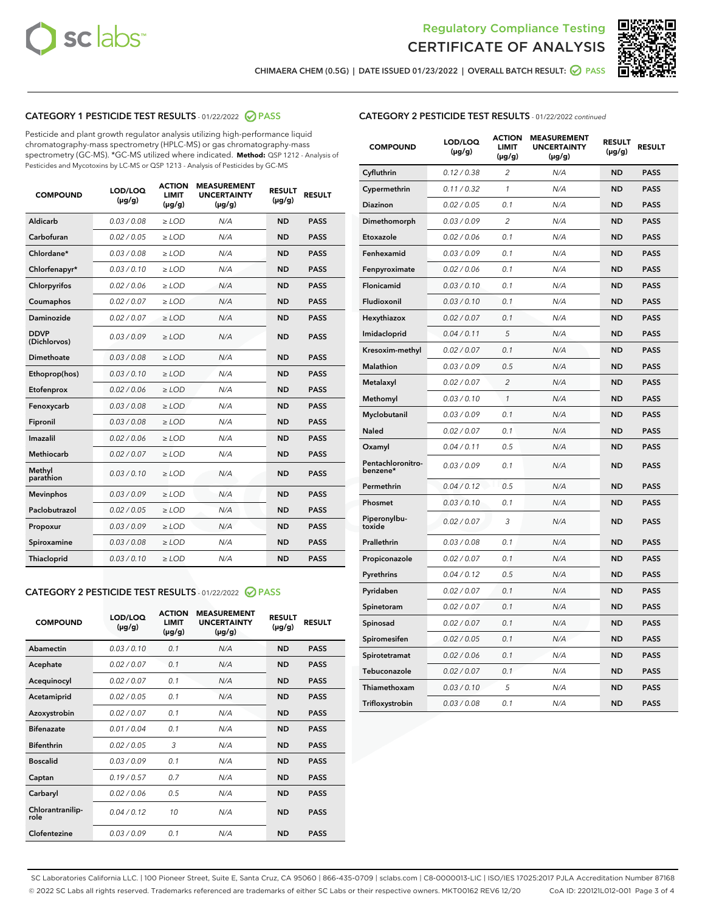



CHIMAERA CHEM (0.5G) | DATE ISSUED 01/23/2022 | OVERALL BATCH RESULT: ☑ PASS

# CATEGORY 1 PESTICIDE TEST RESULTS - 01/22/2022 2 PASS

Pesticide and plant growth regulator analysis utilizing high-performance liquid chromatography-mass spectrometry (HPLC-MS) or gas chromatography-mass spectrometry (GC-MS). \*GC-MS utilized where indicated. **Method:** QSP 1212 - Analysis of Pesticides and Mycotoxins by LC-MS or QSP 1213 - Analysis of Pesticides by GC-MS

| <b>COMPOUND</b>             | LOD/LOQ<br>$(\mu g/g)$ | <b>ACTION</b><br><b>LIMIT</b><br>$(\mu g/g)$ | <b>MEASUREMENT</b><br><b>UNCERTAINTY</b><br>$(\mu g/g)$ | <b>RESULT</b><br>$(\mu g/g)$ | <b>RESULT</b> |
|-----------------------------|------------------------|----------------------------------------------|---------------------------------------------------------|------------------------------|---------------|
| Aldicarb                    | 0.03/0.08              | $>$ LOD                                      | N/A                                                     | <b>ND</b>                    | <b>PASS</b>   |
| Carbofuran                  | 0.02 / 0.05            | $\ge$ LOD                                    | N/A                                                     | <b>ND</b>                    | <b>PASS</b>   |
| Chlordane*                  | 0.03 / 0.08            | $\ge$ LOD                                    | N/A                                                     | <b>ND</b>                    | <b>PASS</b>   |
| Chlorfenapyr*               | 0.03/0.10              | $\ge$ LOD                                    | N/A                                                     | <b>ND</b>                    | <b>PASS</b>   |
| Chlorpyrifos                | 0.02 / 0.06            | $>$ LOD                                      | N/A                                                     | <b>ND</b>                    | <b>PASS</b>   |
| Coumaphos                   | 0.02 / 0.07            | $\ge$ LOD                                    | N/A                                                     | <b>ND</b>                    | <b>PASS</b>   |
| Daminozide                  | 0.02 / 0.07            | $\ge$ LOD                                    | N/A                                                     | <b>ND</b>                    | <b>PASS</b>   |
| <b>DDVP</b><br>(Dichlorvos) | 0.03/0.09              | $\ge$ LOD                                    | N/A                                                     | <b>ND</b>                    | <b>PASS</b>   |
| Dimethoate                  | 0.03/0.08              | $\ge$ LOD                                    | N/A                                                     | <b>ND</b>                    | <b>PASS</b>   |
| Ethoprop(hos)               | 0.03/0.10              | $>$ LOD                                      | N/A                                                     | <b>ND</b>                    | <b>PASS</b>   |
| Etofenprox                  | 0.02 / 0.06            | $\ge$ LOD                                    | N/A                                                     | <b>ND</b>                    | <b>PASS</b>   |
| Fenoxycarb                  | 0.03/0.08              | $\ge$ LOD                                    | N/A                                                     | <b>ND</b>                    | <b>PASS</b>   |
| Fipronil                    | 0.03/0.08              | $>$ LOD                                      | N/A                                                     | <b>ND</b>                    | <b>PASS</b>   |
| Imazalil                    | 0.02 / 0.06            | $\ge$ LOD                                    | N/A                                                     | <b>ND</b>                    | <b>PASS</b>   |
| Methiocarb                  | 0.02 / 0.07            | $>$ LOD                                      | N/A                                                     | <b>ND</b>                    | <b>PASS</b>   |
| Methyl<br>parathion         | 0.03/0.10              | $>$ LOD                                      | N/A                                                     | <b>ND</b>                    | <b>PASS</b>   |
| <b>Mevinphos</b>            | 0.03 / 0.09            | $>$ LOD                                      | N/A                                                     | <b>ND</b>                    | <b>PASS</b>   |
| Paclobutrazol               | 0.02 / 0.05            | $\ge$ LOD                                    | N/A                                                     | <b>ND</b>                    | <b>PASS</b>   |
| Propoxur                    | 0.03/0.09              | $\ge$ LOD                                    | N/A                                                     | <b>ND</b>                    | <b>PASS</b>   |
| Spiroxamine                 | 0.03 / 0.08            | $\ge$ LOD                                    | N/A                                                     | <b>ND</b>                    | <b>PASS</b>   |
| <b>Thiacloprid</b>          | 0.03/0.10              | $\ge$ LOD                                    | N/A                                                     | <b>ND</b>                    | <b>PASS</b>   |
|                             |                        |                                              |                                                         |                              |               |

#### CATEGORY 2 PESTICIDE TEST RESULTS - 01/22/2022 2 PASS

| <b>COMPOUND</b>          | LOD/LOO<br>$(\mu g/g)$ | <b>ACTION</b><br>LIMIT<br>$(\mu g/g)$ | <b>MEASUREMENT</b><br><b>UNCERTAINTY</b><br>$(\mu g/g)$ | <b>RESULT</b><br>$(\mu g/g)$ | <b>RESULT</b> |  |
|--------------------------|------------------------|---------------------------------------|---------------------------------------------------------|------------------------------|---------------|--|
| Abamectin                | 0.03/0.10              | 0.1                                   | N/A                                                     | <b>ND</b>                    | <b>PASS</b>   |  |
| Acephate                 | 0.02/0.07              | 0.1                                   | N/A                                                     | <b>ND</b>                    | <b>PASS</b>   |  |
| Acequinocyl              | 0.02/0.07              | 0.1                                   | N/A                                                     | <b>ND</b>                    | <b>PASS</b>   |  |
| Acetamiprid              | 0.02 / 0.05            | 0.1                                   | N/A                                                     | <b>ND</b>                    | <b>PASS</b>   |  |
| Azoxystrobin             | 0.02/0.07              | 0.1                                   | N/A                                                     | <b>ND</b>                    | <b>PASS</b>   |  |
| <b>Bifenazate</b>        | 0.01 / 0.04            | 0.1                                   | N/A                                                     | <b>ND</b>                    | <b>PASS</b>   |  |
| <b>Bifenthrin</b>        | 0.02 / 0.05            | 3                                     | N/A                                                     | <b>ND</b>                    | <b>PASS</b>   |  |
| <b>Boscalid</b>          | 0.03/0.09              | 0.1                                   | N/A                                                     | <b>ND</b>                    | <b>PASS</b>   |  |
| Captan                   | 0.19/0.57              | 0.7                                   | N/A                                                     | <b>ND</b>                    | <b>PASS</b>   |  |
| Carbaryl                 | 0.02/0.06              | 0.5                                   | N/A                                                     | <b>ND</b>                    | <b>PASS</b>   |  |
| Chlorantranilip-<br>role | 0.04/0.12              | 10                                    | N/A                                                     | <b>ND</b>                    | <b>PASS</b>   |  |
| Clofentezine             | 0.03/0.09              | 0.1                                   | N/A                                                     | <b>ND</b>                    | <b>PASS</b>   |  |

| <b>CATEGORY 2 PESTICIDE TEST RESULTS</b> - 01/22/2022 continued |
|-----------------------------------------------------------------|
|-----------------------------------------------------------------|

| <b>COMPOUND</b>               | LOD/LOQ<br>(µg/g) | <b>ACTION</b><br><b>LIMIT</b><br>$(\mu g/g)$ | <b>MEASUREMENT</b><br><b>UNCERTAINTY</b><br>$(\mu g/g)$ | <b>RESULT</b><br>(µg/g) | <b>RESULT</b> |
|-------------------------------|-------------------|----------------------------------------------|---------------------------------------------------------|-------------------------|---------------|
| Cyfluthrin                    | 0.12 / 0.38       | $\overline{c}$                               | N/A                                                     | <b>ND</b>               | <b>PASS</b>   |
| Cypermethrin                  | 0.11 / 0.32       | 1                                            | N/A                                                     | ND                      | <b>PASS</b>   |
| <b>Diazinon</b>               | 0.02 / 0.05       | 0.1                                          | N/A                                                     | ND                      | <b>PASS</b>   |
| Dimethomorph                  | 0.03 / 0.09       | $\overline{2}$                               | N/A                                                     | ND                      | <b>PASS</b>   |
| Etoxazole                     | 0.02 / 0.06       | 0.1                                          | N/A                                                     | ND                      | <b>PASS</b>   |
| Fenhexamid                    | 0.03 / 0.09       | 0.1                                          | N/A                                                     | ND                      | <b>PASS</b>   |
| Fenpyroximate                 | 0.02 / 0.06       | 0.1                                          | N/A                                                     | <b>ND</b>               | <b>PASS</b>   |
| Flonicamid                    | 0.03 / 0.10       | 0.1                                          | N/A                                                     | <b>ND</b>               | <b>PASS</b>   |
| Fludioxonil                   | 0.03 / 0.10       | 0.1                                          | N/A                                                     | <b>ND</b>               | <b>PASS</b>   |
| Hexythiazox                   | 0.02 / 0.07       | 0.1                                          | N/A                                                     | <b>ND</b>               | <b>PASS</b>   |
| Imidacloprid                  | 0.04 / 0.11       | 5                                            | N/A                                                     | <b>ND</b>               | <b>PASS</b>   |
| Kresoxim-methyl               | 0.02 / 0.07       | 0.1                                          | N/A                                                     | ND                      | <b>PASS</b>   |
| <b>Malathion</b>              | 0.03 / 0.09       | 0.5                                          | N/A                                                     | ND                      | <b>PASS</b>   |
| Metalaxyl                     | 0.02 / 0.07       | $\overline{2}$                               | N/A                                                     | <b>ND</b>               | <b>PASS</b>   |
| Methomyl                      | 0.03 / 0.10       | $\mathbf{1}$                                 | N/A                                                     | <b>ND</b>               | <b>PASS</b>   |
| Myclobutanil                  | 0.03 / 0.09       | 0.1                                          | N/A                                                     | ND                      | PASS          |
| <b>Naled</b>                  | 0.02 / 0.07       | 0.1                                          | N/A                                                     | <b>ND</b>               | <b>PASS</b>   |
| Oxamyl                        | 0.04 / 0.11       | 0.5                                          | N/A                                                     | <b>ND</b>               | <b>PASS</b>   |
| Pentachloronitro-<br>benzene* | 0.03 / 0.09       | 0.1                                          | N/A                                                     | <b>ND</b>               | <b>PASS</b>   |
| Permethrin                    | 0.04 / 0.12       | 0.5                                          | N/A                                                     | ND                      | <b>PASS</b>   |
| Phosmet                       | 0.03 / 0.10       | 0.1                                          | N/A                                                     | <b>ND</b>               | <b>PASS</b>   |
| Piperonylbu-<br>toxide        | 0.02 / 0.07       | 3                                            | N/A                                                     | ND                      | <b>PASS</b>   |
| Prallethrin                   | 0.03 / 0.08       | 0.1                                          | N/A                                                     | ND                      | <b>PASS</b>   |
| Propiconazole                 | 0.02 / 0.07       | 0.1                                          | N/A                                                     | ND                      | PASS          |
| Pyrethrins                    | 0.04 / 0.12       | 0.5                                          | N/A                                                     | ND                      | <b>PASS</b>   |
| Pyridaben                     | 0.02 / 0.07       | 0.1                                          | N/A                                                     | <b>ND</b>               | <b>PASS</b>   |
| Spinetoram                    | 0.02 / 0.07       | 0.1                                          | N/A                                                     | ND                      | <b>PASS</b>   |
| Spinosad                      | 0.02 / 0.07       | 0.1                                          | N/A                                                     | ND                      | PASS          |
| Spiromesifen                  | 0.02 / 0.05       | 0.1                                          | N/A                                                     | ND                      | <b>PASS</b>   |
| Spirotetramat                 | 0.02 / 0.06       | 0.1                                          | N/A                                                     | ND                      | <b>PASS</b>   |
| Tebuconazole                  | 0.02 / 0.07       | 0.1                                          | N/A                                                     | ND                      | <b>PASS</b>   |
| Thiamethoxam                  | 0.03 / 0.10       | 5                                            | N/A                                                     | ND                      | <b>PASS</b>   |
| Trifloxystrobin               | 0.03 / 0.08       | 0.1                                          | N/A                                                     | <b>ND</b>               | <b>PASS</b>   |

SC Laboratories California LLC. | 100 Pioneer Street, Suite E, Santa Cruz, CA 95060 | 866-435-0709 | sclabs.com | C8-0000013-LIC | ISO/IES 17025:2017 PJLA Accreditation Number 87168 © 2022 SC Labs all rights reserved. Trademarks referenced are trademarks of either SC Labs or their respective owners. MKT00162 REV6 12/20 CoA ID: 220121L012-001 Page 3 of 4